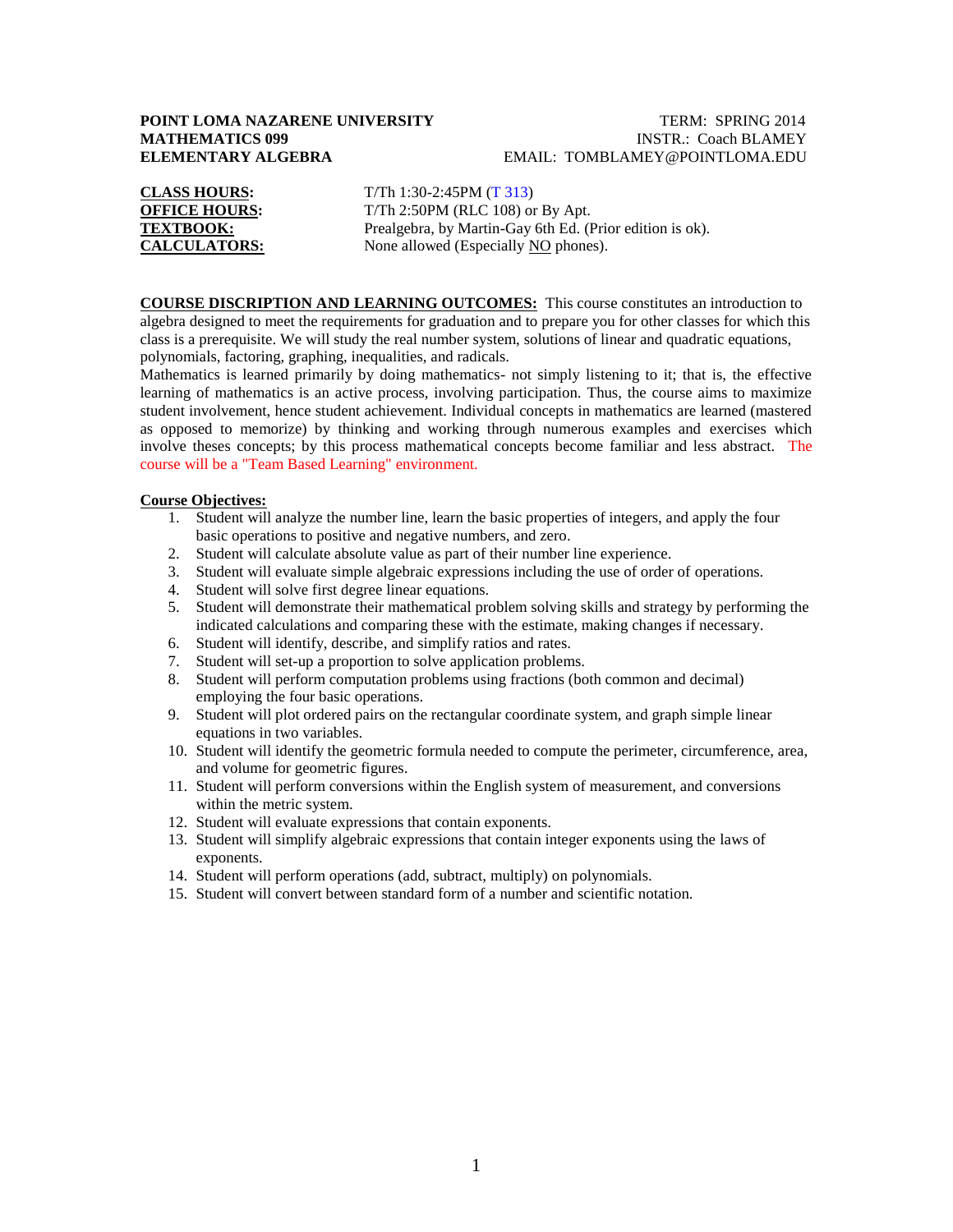# **POINT LOMA NAZARENE UNIVERSITY TERM: SPRING 2014**

# **MATHEMATICS 099 INSTR.: Coach BLAMEY ELEMENTARY ALGEBRA** EMAIL: TOMBLAMEY@POINTLOMA.EDU

| <b>CLASS HOURS:</b>  |
|----------------------|
| <b>OFFICE HOURS:</b> |
| <b>TEXTBOOK:</b>     |
| <b>CALCULATORS:</b>  |

**CLASS HOURS:** T/Th 1:30-2:45PM (T 313) T/Th 2:50PM (RLC 108) or By Apt. Prealgebra, by Martin-Gay 6th Ed. (Prior edition is ok). None allowed (Especially NO phones).

**COURSE DISCRIPTION AND LEARNING OUTCOMES:** This course constitutes an introduction to algebra designed to meet the requirements for graduation and to prepare you for other classes for which this class is a prerequisite. We will study the real number system, solutions of linear and quadratic equations, polynomials, factoring, graphing, inequalities, and radicals.

Mathematics is learned primarily by doing mathematics- not simply listening to it; that is, the effective learning of mathematics is an active process, involving participation. Thus, the course aims to maximize student involvement, hence student achievement. Individual concepts in mathematics are learned (mastered as opposed to memorize) by thinking and working through numerous examples and exercises which involve theses concepts; by this process mathematical concepts become familiar and less abstract. The course will be a "Team Based Learning" environment.

#### **Course Objectives:**

- 1. Student will analyze the number line, learn the basic properties of integers, and apply the four basic operations to positive and negative numbers, and zero.
- 2. Student will calculate absolute value as part of their number line experience.
- 3. Student will evaluate simple algebraic expressions including the use of order of operations.
- 4. Student will solve first degree linear equations.
- 5. Student will demonstrate their mathematical problem solving skills and strategy by performing the indicated calculations and comparing these with the estimate, making changes if necessary.
- 6. Student will identify, describe, and simplify ratios and rates.
- 7. Student will set-up a proportion to solve application problems.
- 8. Student will perform computation problems using fractions (both common and decimal) employing the four basic operations.
- 9. Student will plot ordered pairs on the rectangular coordinate system, and graph simple linear equations in two variables.
- 10. Student will identify the geometric formula needed to compute the perimeter, circumference, area, and volume for geometric figures.
- 11. Student will perform conversions within the English system of measurement, and conversions within the metric system.
- 12. Student will evaluate expressions that contain exponents.
- 13. Student will simplify algebraic expressions that contain integer exponents using the laws of exponents.
- 14. Student will perform operations (add, subtract, multiply) on polynomials.
- 15. Student will convert between standard form of a number and scientific notation.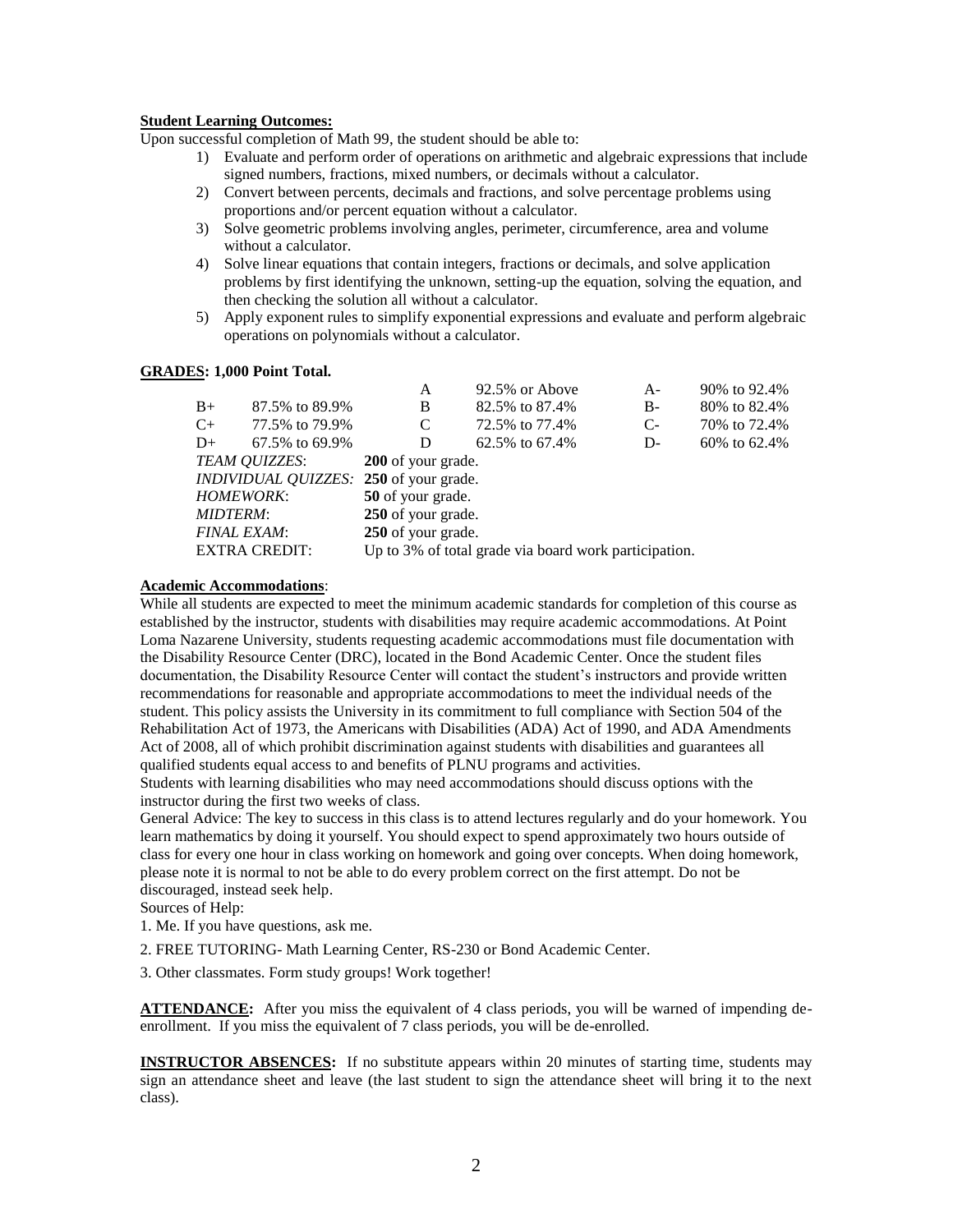#### **Student Learning Outcomes:**

Upon successful completion of Math 99, the student should be able to:

- 1) Evaluate and perform order of operations on arithmetic and algebraic expressions that include signed numbers, fractions, mixed numbers, or decimals without a calculator.
- 2) Convert between percents, decimals and fractions, and solve percentage problems using proportions and/or percent equation without a calculator.
- 3) Solve geometric problems involving angles, perimeter, circumference, area and volume without a calculator.
- 4) Solve linear equations that contain integers, fractions or decimals, and solve application problems by first identifying the unknown, setting-up the equation, solving the equation, and then checking the solution all without a calculator.
- 5) Apply exponent rules to simplify exponential expressions and evaluate and perform algebraic operations on polynomials without a calculator.

#### **GRADES: 1,000 Point Total.**

| A                                                     | 92.5% or Above | $A -$                                                                                                                                       | 90% to 92.4%   |  |
|-------------------------------------------------------|----------------|---------------------------------------------------------------------------------------------------------------------------------------------|----------------|--|
| B                                                     | 82.5% to 87.4% | $B -$                                                                                                                                       | 80\% to 82.4\% |  |
| C                                                     | 72.5% to 77.4% | $C-$                                                                                                                                        | 70\% to 72.4\% |  |
| D                                                     | 62.5% to 67.4% | D-                                                                                                                                          | 60\% to 62.4\% |  |
|                                                       |                |                                                                                                                                             |                |  |
|                                                       |                |                                                                                                                                             |                |  |
|                                                       |                |                                                                                                                                             |                |  |
|                                                       |                |                                                                                                                                             |                |  |
|                                                       |                |                                                                                                                                             |                |  |
| Up to 3% of total grade via board work participation. |                |                                                                                                                                             |                |  |
|                                                       |                | <b>200</b> of your grade.<br><i>INDIVIDUAL QUIZZES:</i> 250 of your grade.<br>50 of your grade.<br>250 of your grade.<br>250 of your grade. |                |  |

#### **Academic Accommodations**:

While all students are expected to meet the minimum academic standards for completion of this course as established by the instructor, students with disabilities may require academic accommodations. At Point Loma Nazarene University, students requesting academic accommodations must file documentation with the Disability Resource Center (DRC), located in the Bond Academic Center. Once the student files documentation, the Disability Resource Center will contact the student's instructors and provide written recommendations for reasonable and appropriate accommodations to meet the individual needs of the student. This policy assists the University in its commitment to full compliance with Section 504 of the Rehabilitation Act of 1973, the Americans with Disabilities (ADA) Act of 1990, and ADA Amendments Act of 2008, all of which prohibit discrimination against students with disabilities and guarantees all qualified students equal access to and benefits of PLNU programs and activities.

Students with learning disabilities who may need accommodations should discuss options with the instructor during the first two weeks of class.

General Advice: The key to success in this class is to attend lectures regularly and do your homework. You learn mathematics by doing it yourself. You should expect to spend approximately two hours outside of class for every one hour in class working on homework and going over concepts. When doing homework, please note it is normal to not be able to do every problem correct on the first attempt. Do not be discouraged, instead seek help.

Sources of Help:

1. Me. If you have questions, ask me.

2. FREE TUTORING- Math Learning Center, RS-230 or Bond Academic Center.

3. Other classmates. Form study groups! Work together!

**ATTENDANCE:** After you miss the equivalent of 4 class periods, you will be warned of impending deenrollment. If you miss the equivalent of 7 class periods, you will be de-enrolled.

**INSTRUCTOR ABSENCES:** If no substitute appears within 20 minutes of starting time, students may sign an attendance sheet and leave (the last student to sign the attendance sheet will bring it to the next class).